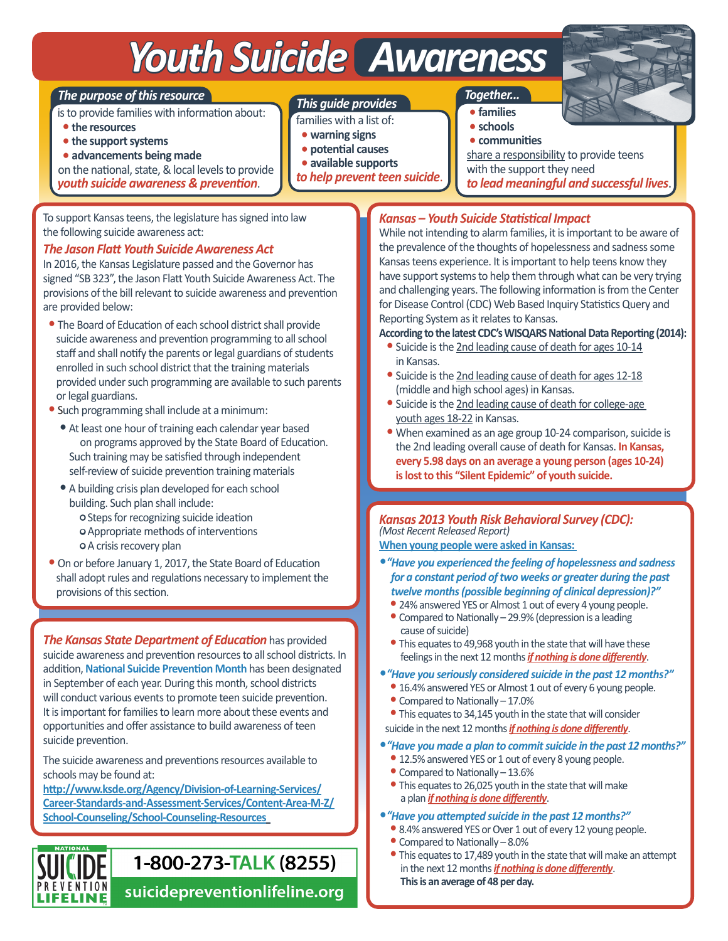# *Youth Suicide Awareness*

#### *The purpose of this resource*

is to provide families with information about:

- •**the resources**
- •**the support systems**
- •**advancements being made**

on the national, state, & local levels to provide

*youth suicide awareness & prevention*.

To support Kansas teens, the legislature has signed into law the following suicide awareness act:

#### *The Jason Flatt Youth Suicide Awareness Act*

In 2016, the Kansas Legislature passed and the Governor has signed "SB 323", the Jason Flatt Youth Suicide Awareness Act. The provisions of the bill relevant to suicide awareness and prevention are provided below:

- The Board of Education of each school district shall provide suicide awareness and prevention programming to all school staff and shall notify the parents or legal guardians of students enrolled in such school district that the training materials provided under such programming are available to such parents or legal guardians.
- •Such programming shall include at a minimum:
	- At least one hour of training each calendar year based on programs approved by the State Board of Education. Such training may be satisfied through independent self-review of suicide prevention training materials
	- A building crisis plan developed for each school building. Such plan shall include: • Steps for recognizing suicide ideation • Appropriate methods of interventions • A crisis recovery plan
- •On or before January 1, 2017, the State Board of Education shall adopt rules and regulations necessary to implement the provisions of this section.

*The Kansas State Department of Education* has provided suicide awareness and prevention resources to all school districts. In addition, **National Suicide Prevention Month** has been designated in September of each year. During this month, school districts will conduct various events to promote teen suicide prevention. It is important for families to learn more about these events and opportunities and offer assistance to build awareness of teen suicide prevention.

The suicide awareness and preventions resources available to schools may be found at:

**PREVENTION** 

**LIFELINE** 

**http://www.ksde.org/Agency/Division-of-Learning-Services/ Career-Standards-and-Assessment-Services/Content-Area-M-Z/ School-Counseling/School-Counseling-Resources**

## 1-800-273-TALK (8255)

suicidepreventionlifeline.org

#### *This guide provides*

- families with a list of:
- •**warning signs**
- **potential causes**
- •**available supports**
- *to help prevent teen suicide*.

 *Together...*

- •**families** •**schools**
- •**communities**

 share a responsibility to provide teens with the support they need *to lead meaningful and successful lives*.

#### *Kansas – Youth Suicide Statistical Impact*

While not intending to alarm families, it is important to be aware of the prevalence of the thoughts of hopelessness and sadness some Kansas teens experience. It is important to help teens know they have support systems to help them through what can be very trying and challenging years. The following information is from the Center for Disease Control (CDC) Web Based Inquiry Statistics Query and Reporting System as it relates to Kansas.

**According to the latest CDC's WISQARS National Data Reporting (2014):**

- Suicide is the 2nd leading cause of death for ages 10-14 in Kansas.
- •Suicide is the 2nd leading cause of death for ages 12-18 (middle and high school ages) in Kansas.
- •Suicide is the 2nd leading cause of death for college-age youth ages 18-22 in Kansas.
- When examined as an age group 10-24 comparison, suicide is the 2nd leading overall cause of death for Kansas. **In Kansas, every 5.98 days on an average a young person (ages 10-24) islost to this "Silent Epidemic" of youth suicide.**

#### *Kansas 2013 Youth Risk Behavioral Survey (CDC): (Most Recent Released Report)*

**When young people were asked in Kansas:** 

- •*�Have you experienced the feeling of hopelessness and sadness for a constant period of two weeks or greater during the past twelve months (possible beginning of clinical depression)?"*
	- 24% answered YES or Almost 1 out of every 4 young people. • Compared to Nationally – 29.9% (depression is a leading cause of suicide)
	- This equates to 49,968 youth in the state that will have these feelings in the next 12 months *if nothing is done differently*.
- •*�Have you seriously considered suicide in the past 12 months?"*
	- 16.4% answered YES or Almost 1 out of every 6 young people.
	- Compared to Nationally 17.0%

 •This equates to 34,145 youth in the state that will consider suicide in the next 12 months *if nothing is done differently*.

- •*�Have you made a plan to commit suicide in the past 12 months?"* • 12.5% answered YES or 1 out of every 8 young people.
	- Compared to Nationally 13.6%
	- •This equates to 26,025 youth in the state that will make a plan *if nothing is done differently*.
- •*�Have you attempted suicide in the past 12 months?"*
	- 8.4% answered YES or Over 1 out of every 12 young people.
	- Compared to Nationally 8.0%
	- •This equates to 17,489 youth in the state that will make an attempt in the next 12 months *if nothing is done differently*. **This is an average of 48 per day.**